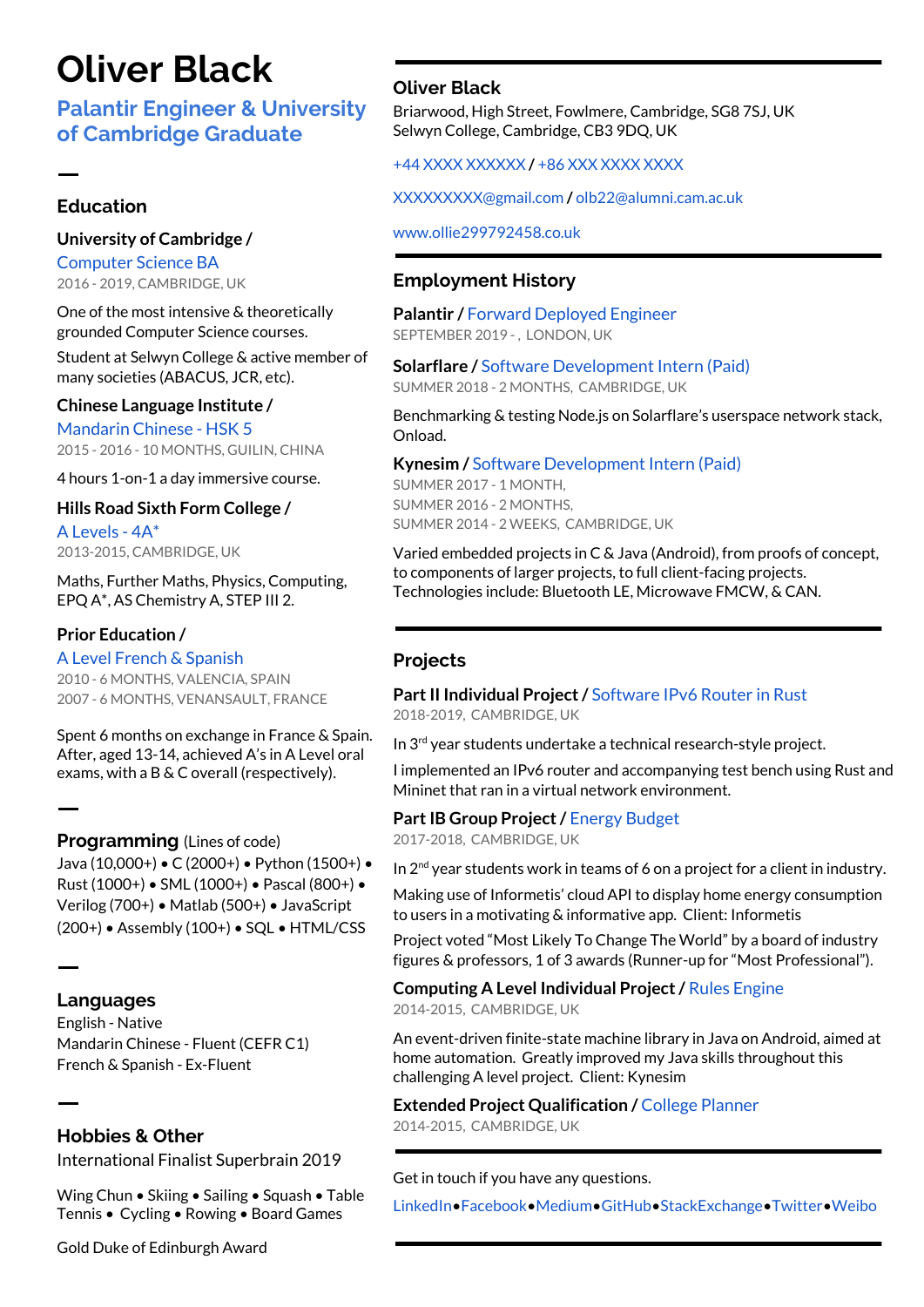# **[Oliver](http://www.ollie299792458.co.uk/) Black**

# **Palantir [Engineer](https://www.palantir.com/) & [University](https://www.cam.ac.uk/) of [Cambridge](https://www.cam.ac.uk/) Graduate**

### **Education**

ㅡ

#### **University of [Cambridge](http://www.cam.ac.uk/) /**

[Computer](http://www.cl.cam.ac.uk/) Science BA 2016 - 2019, CAMBRIDGE, [UK](https://goo.gl/maps/BgsNFfDX3Wp)

One of the most intensive & theoretically grounded Computer Science courses.

Student at Selwyn [College](http://www.sel.cam.ac.uk/) & active member of many societies ([ABACUS,](http://www.abacuscambridge.org.uk/) [JCR](http://selwynjcr.org/), etc).

#### **Chinese [Language](https://www.studycli.org/) Institute /**

Mandarin Chinese - [HSK](http://www.chinesetest.cn/gosign.do?id=1&lid=0) 5 2015 - 2016 - 10 MONTHS, GUILIN, [CHINA](https://goo.gl/maps/V4g2wf6ytJ52)

4 hours 1-on-1 a day immersive course.

#### **Hills Road Sixth Form College /**

A Levels - 4A\* 2013-2015, [CAMBRIDGE,](https://goo.gl/maps/veyShqmus162) UK

[Maths,](https://www.aqa.org.uk/subjects/mathematics/as-and-a-level/mathematics-6360) [Further](https://www.aqa.org.uk/subjects/mathematics/as-and-a-level/further-mathematics-6360) Maths, [Physics](http://www.ocr.org.uk/qualifications/as-a-level-gce/as-a-level-gce-physics-b-advancing-physics-h159-h559/), [Computing,](https://www.aqa.org.uk/subjects/computer-science-and-it/as-and-a-level/computer-science-7516-7517) [EPQ](http://www.ocr.org.uk/qualifications/projects/projects-extended-project-h856/) A\*, AS [Chemistry](http://www.ocr.org.uk/qualifications/as-a-level-gce/as-a-level-gce-chemistry-a-h034-h434/) A, [STEP](http://www.admissionstesting.org/for-test-takers/step/about-step/) III 2.

## **Prior Education /**

A Level [French](https://www.aqa.org.uk/subjects/languages/as-and-a-level/french-2650) & [Spanish](https://www.aqa.org.uk/subjects/languages/as-and-a-level/spanish-2695)

2010 - 6 MONTHS, [VALENCIA,](https://goo.gl/maps/rjnnUaNpGT72) SPAIN 2007 - 6 MONTHS, [VENANSAULT,](https://goo.gl/maps/S6eM6CaxuKp) FRANCE

Spent 6 months on exchange in France & Spain. After, aged 13-14, achieved A's in A Level oral exams, with a B & C overall (respectively).

#### **Programming** (Lines of code)

[Java](https://java.com/en/) (10,000+) • [C](https://en.wikipedia.org/wiki/C_(programming_language)) (2000+) • [Python](https://www.python.org/) (1500+) • [Rust](https://www.rust-lang.org/) (1000+) • [SML](https://www.polyml.org/) (1000+) • [Pascal](https://en.wikipedia.org/wiki/Pascal_(programming_language)) (800+) • [Verilog](https://en.wikipedia.org/wiki/SystemVerilog) (700+) • [Matlab](https://www.mathworks.com/products/matlab.html) (500+) • [JavaScript](https://www.javascript.com/) (200+) • [Assembly](https://riscv.org/) (100+) • [SQL](https://www.mysql.com/) • [HTML/CSS](https://www.w3schools.com/htmL/)

## **Languages**

ㅡ

ㅡ

ㅡ

English - Native Mandarin Chinese - Fluent ([CEFR](https://en.wikipedia.org/wiki/Common_European_Framework_of_Reference_for_Languages#Common_reference_levels) C1) French & Spanish - Ex-Fluent

## **Hobbies & Other**

[International](http://www.ollie299792458.co.uk/#english) Finalist Superbrain 2019

Wing Chun • Skiing • Sailing • Squash • Table Tennis • Cycling • Rowing • Board Games

Gold Duke of [Edinburgh](https://www.dofe.org/) Award

## **[Oliver](https://www.linkedin.com/in/ollie299792458/) Black**

Briarwood, High Street, Fowlmere, [Cambridge,](https://goo.gl/maps/Lytu8MmoyAn) SG8 7SJ, UK Selwyn College, [Cambridge,](https://goo.gl/maps/x4zwZHiwdoz) CB3 9DQ, UK

+44 XXXX XXXXXX **/** +86 XXX XXXX XXXX

XXXXXXXXX@gmail.com **/** [olb22@alumni.cam.ac.uk](mailto:olb22@alumni.cam.ac.uk)

www.ollie299792458.co.uk

## **Employment History**

**[Palantir](https://www.palantir.com/) /** Forward Deployed Engineer SEPTEMBER 2019 -, [LONDON,](https://goo.gl/maps/9p4ht8zu5gqvQehz8) UK

**[Solarflare](https://www.solarflare.com/) /** Software Development Intern (Paid) SUMMER 2018 - 2 MONTHS, [CAMBRIDGE,](https://goo.gl/maps/jAnFq4WiFrt) UK

Benchmarking & testing [Node.js](https://nodejs.org/en/) on [Solarflare's](https://www.solarflare.com/) userspace network stack, [Onload](https://www.openonload.org/).

**[Kynesim](https://www.kynesim.com/) /** Software Development Intern (Paid) SUMMER 2017 - 1 MONTH,

SUMMER 2016 - 2 MONTHS, SUMMER 2014 - 2 WEEKS, [CAMBRIDGE,](https://goo.gl/maps/FTkULy3vRSm) UK

Varied embedded projects in C & Java (Android), from proofs of concept, to components of larger projects, to full client-facing projects. Technologies include: Bluetooth LE, Microwave FMCW, & CAN.

## **Projects**

**Part II [Individual](http://www.cl.cam.ac.uk/teaching/projects/) Project / [Software](https://drive.google.com/drive/folders/1jPnY5CV3edi7Hsf39VEZqTC42gclGr6R?usp=sharing) IPv6 Router in Rust** 2018-2019, [CAMBRIDGE,](https://goo.gl/maps/cnKfmvhLEfS2) UK

In 3<sup>rd</sup> year students undertake a technical research-style project.

I implemented an IPv6 router and accompanying test bench using [Rust](https://www.rust-lang.org/) and [Mininet](http://mininet.org/) that ran in a virtual network environment.

#### **Part IB Group [Project](http://www.cl.cam.ac.uk/teaching/group-projects/) / Energy [Budget](https://drive.google.com/drive/folders/1M3AimtP78BVywjFFH9P1QQaP9BCn6lJN?usp=sharing)**

2017-2018, [CAMBRIDGE,](https://goo.gl/maps/cnKfmvhLEfS2) UK

In  $2<sup>nd</sup>$  year students work in teams of 6 on a project for a client in industry.

Making use of [Informetis'](https://www.informetis.com/en/) cloud API to display home energy consumption to users in a motivating & informative app. Client: [Informetis](https://www.informetis.com/en/)

Project voted "Most Likely To Change The World" by a board of industry figures & professors, 1 of 3 awards (Runner-up for "Most Professional").

**[Computing](https://www.aqa.org.uk/subjects/computer-science-and-it/as-and-a-level/computer-science-7516-7517/subject-content-a-level/non-exam-assessment-the-computing-practical-project) A Level Individual Project/** Rules [Engine](https://drive.google.com/drive/folders/0BybkusX7hwHjeUk5THR3NDMzMms?usp=sharing) 2014-2015, [CAMBRIDGE,](https://goo.gl/maps/veyShqmus162) UK

An event-driven finite-state machine library in Java on Android, aimed at home automation. Greatly improved my Java skills throughout this challenging A level project. Client: [Kynesim](https://www.kynesim.com/)

**Extended Project [Qualification](http://www.ocr.org.uk/qualifications/projects/projects-extended-project-h856/) /** College [Planner](https://drive.google.com/drive/folders/0BybkusX7hwHjYzhMaXF4MDQzQkk?usp=sharing)

2014-2015, [CAMBRIDGE,](https://goo.gl/maps/veyShqmus162) UK

Get in touch if you have any questions.

[LinkedIn](https://www.linkedin.com/in/ollie299792458/)[•Facebook](https://www.facebook.com/ollie299792458)•[Medium](https://medium.com/@oliver.black.uk)[•GitHub](https://github.com/ollie299792458)[•StackExchange](https://stackexchange.com/users/4291133/ollie299792458)[•Twitter](https://twitter.com/ollie299792458)•[Weibo](http://weibo.com/u/6511118702)